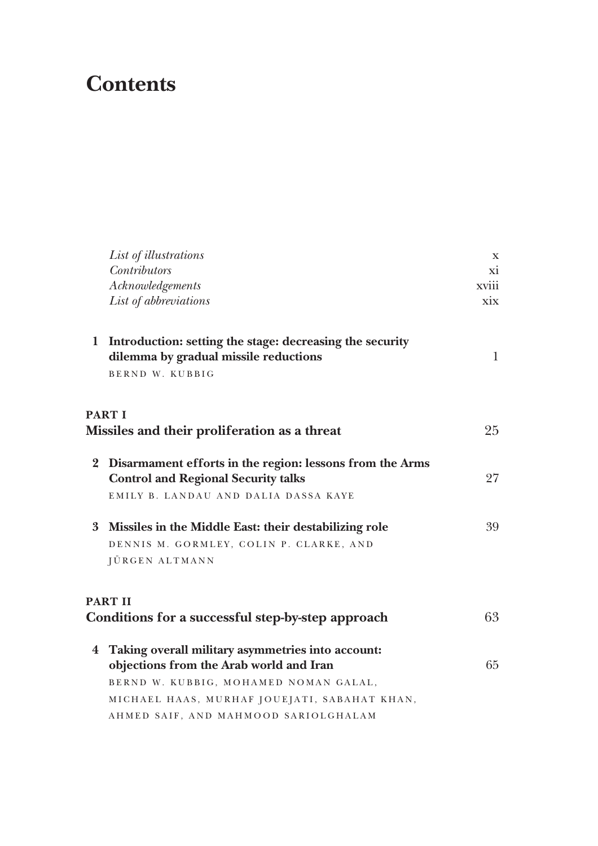## **Contents**

|              | List of illustrations                                                                             | $\mathbf X$  |
|--------------|---------------------------------------------------------------------------------------------------|--------------|
|              | <b>Contributors</b>                                                                               | xi           |
|              | Acknowledgements                                                                                  | xviii        |
|              | List of abbreviations                                                                             | xix          |
| $\mathbf{1}$ | Introduction: setting the stage: decreasing the security<br>dilemma by gradual missile reductions | $\mathbf{1}$ |
|              | BERND W. KUBBIG                                                                                   |              |
|              | <b>PART I</b>                                                                                     |              |
|              | Missiles and their proliferation as a threat                                                      | 25           |
|              | 2 Disarmament efforts in the region: lessons from the Arms                                        |              |
|              | <b>Control and Regional Security talks</b>                                                        | 27           |
|              | EMILY B. LANDAU AND DALIA DASSA KAYE                                                              |              |
|              | 3 Missiles in the Middle East: their destabilizing role                                           | 39           |
|              | DENNIS M. GORMLEY, COLIN P. CLARKE, AND                                                           |              |
|              | JÜRGEN ALTMANN                                                                                    |              |
|              | <b>PART II</b>                                                                                    |              |
|              | Conditions for a successful step-by-step approach                                                 | 63           |
|              | 4 Taking overall military asymmetries into account:                                               |              |
|              | objections from the Arab world and Iran                                                           | 65           |
|              | BERND W. KUBBIG, MOHAMED NOMAN GALAL,                                                             |              |
|              | MICHAEL HAAS, MURHAF JOUEJATI, SABAHAT KHAN,                                                      |              |
|              | AHMED SAIF, AND MAHMOOD SARIOLGHALAM                                                              |              |
|              |                                                                                                   |              |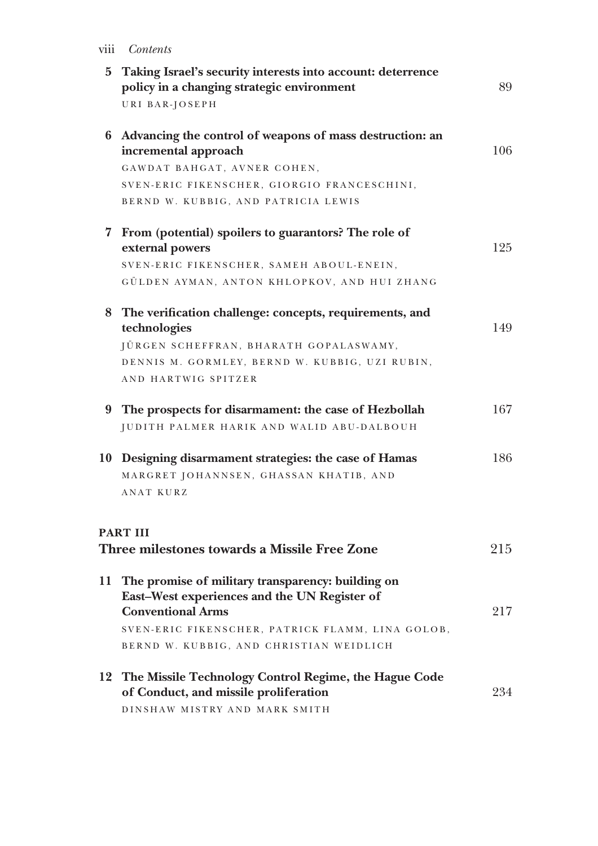viii *Contents*

| 5 Taking Israel's security interests into account: deterrence<br>policy in a changing strategic environment                      | 89  |
|----------------------------------------------------------------------------------------------------------------------------------|-----|
| URI BAR-JOSEPH                                                                                                                   |     |
| 6 Advancing the control of weapons of mass destruction: an<br>incremental approach                                               | 106 |
| GAWDAT BAHGAT, AVNER COHEN,                                                                                                      |     |
| SVEN-ERIC FIKENSCHER, GIORGIO FRANCESCHINI,                                                                                      |     |
| BERND W. KUBBIG, AND PATRICIA LEWIS                                                                                              |     |
| 7 From (potential) spoilers to guarantors? The role of<br>external powers                                                        | 125 |
| SVEN-ERIC FIKENSCHER, SAMEH ABOUL-ENEIN,                                                                                         |     |
| GÜLDEN AYMAN, ANTON KHLOPKOV, AND HUI ZHANG                                                                                      |     |
| 8 The verification challenge: concepts, requirements, and<br>technologies                                                        | 149 |
| JÜRGEN SCHEFFRAN, BHARATH GOPALASWAMY,                                                                                           |     |
| DENNIS M. GORMLEY, BERND W. KUBBIG, UZI RUBIN,                                                                                   |     |
| AND HARTWIG SPITZER                                                                                                              |     |
| 9 The prospects for disarmament: the case of Hezbollah                                                                           | 167 |
| JUDITH PALMER HARIK AND WALID ABU-DALBOUH                                                                                        |     |
| 10 Designing disarmament strategies: the case of Hamas                                                                           | 186 |
| MARGRET JOHANNSEN, GHASSAN KHATIB, AND                                                                                           |     |
| ANAT KURZ                                                                                                                        |     |
| <b>PART III</b>                                                                                                                  |     |
| Three milestones towards a Missile Free Zone                                                                                     | 215 |
| 11 The promise of military transparency: building on<br>East-West experiences and the UN Register of<br><b>Conventional Arms</b> | 217 |
| SVEN-ERIC FIKENSCHER, PATRICK FLAMM, LINA GOLOB,                                                                                 |     |
| BERND W. KUBBIG, AND CHRISTIAN WEIDLICH                                                                                          |     |
| 12 The Missile Technology Control Regime, the Hague Code<br>of Conduct, and missile proliferation                                | 234 |
| DINSHAW MISTRY AND MARK SMITH                                                                                                    |     |